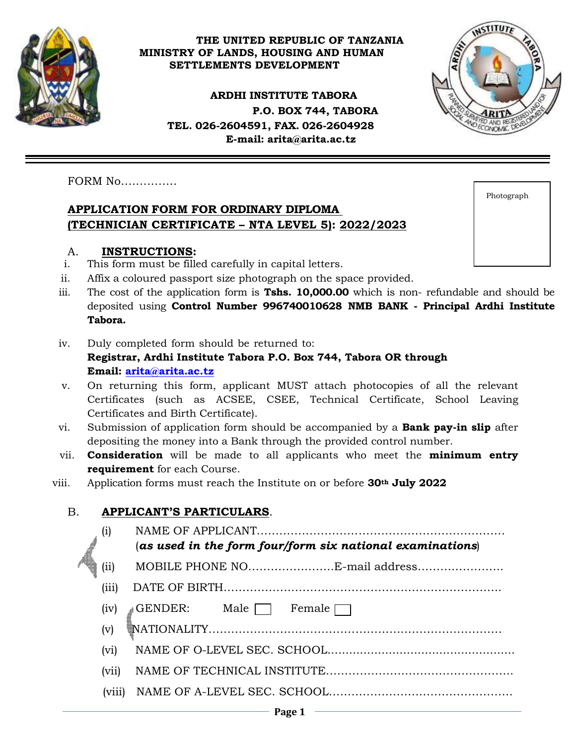

#### **THE UNITED REPUBLIC OF TANZANIA MINISTRY OF LANDS, HOUSING AND HUMAN SETTLEMENTS DEVELOPMENT**

**ARDHI INSTITUTE TABORA P.O. BOX 744, TABORA TEL. 026-2604591, FAX. 026-2604928 E-mail: [arita@arita.ac.tz](mailto:arita@arita.ac.tz)**



FORM No……………

#### **APPLICATION FORM FOR ORDINARY DIPLOMA (TECHNICIAN CERTIFICATE – NTA LEVEL 5): 2022/2023**

|  | A. | <b>INSTRUCTIONS:</b> |
|--|----|----------------------|
|--|----|----------------------|

- i. This form must be filled carefully in capital letters.
- ii. Affix a coloured passport size photograph on the space provided.
- iii. The cost of the application form is **Tshs. 10,000.00** which is non- refundable and should be deposited using **Control Number 996740010628 NMB BANK - Principal Ardhi Institute Tabora.**
- iv. Duly completed form should be returned to: **Registrar, Ardhi Institute Tabora P.O. Box 744, Tabora OR through Email: [arita@arita.ac.tz](mailto:arita@arita.ac.tz)**
- v. On returning this form, applicant MUST attach photocopies of all the relevant Certificates (such as ACSEE, CSEE, Technical Certificate, School Leaving Certificates and Birth Certificate).
- vi. Submission of application form should be accompanied by a **Bank pay-in slip** after depositing the money into a Bank through the provided control number.
- vii. **Consideration** will be made to all applicants who meet the **minimum entry requirement** for each Course.
- viii. Application forms must reach the Institute on or before **30th July 2022**

## B. **APPLICANT'S PARTICULARS**.

| (i)                        | (as used in the form four/form six national examinations) |  |  |
|----------------------------|-----------------------------------------------------------|--|--|
| (ii)                       | MOBILE PHONE NOE-mail address                             |  |  |
| (iii)                      |                                                           |  |  |
| (iv)                       | GENDER: Male $\Box$<br>Female $\Box$                      |  |  |
| (v)                        |                                                           |  |  |
| (vi)                       |                                                           |  |  |
| (vii)                      |                                                           |  |  |
| $\overline{\text{V}}$ 111) |                                                           |  |  |
|                            |                                                           |  |  |

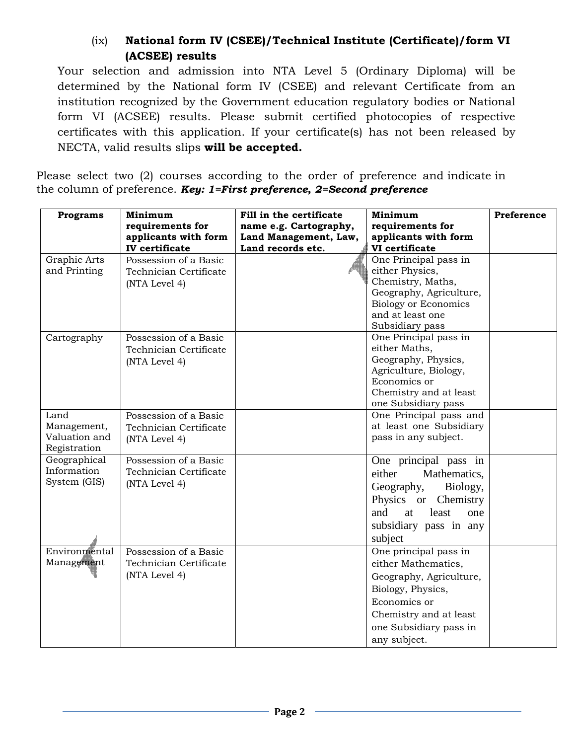#### (ix) **National form IV (CSEE)/Technical Institute (Certificate)/form VI (ACSEE) results**

Your selection and admission into NTA Level 5 (Ordinary Diploma) will be determined by the National form IV (CSEE) and relevant Certificate from an institution recognized by the Government education regulatory bodies or National form VI (ACSEE) results. Please submit certified photocopies of respective certificates with this application. If your certificate(s) has not been released by NECTA, valid results slips **will be accepted.**

Please select two (2) courses according to the order of preference and indicate in the column of preference. *Key: 1=First preference, 2=Second preference*

| <b>Programs</b>             | Minimum                | Fill in the certificate | Minimum                                                | Preference |
|-----------------------------|------------------------|-------------------------|--------------------------------------------------------|------------|
|                             | requirements for       | name e.g. Cartography,  | requirements for                                       |            |
|                             | applicants with form   | Land Management, Law,   | applicants with form                                   |            |
|                             | <b>IV</b> certificate  | Land records etc.       | VI certificate                                         |            |
| Graphic Arts                | Possession of a Basic  |                         | One Principal pass in                                  |            |
| and Printing                | Technician Certificate |                         | either Physics,                                        |            |
|                             | (NTA Level 4)          |                         | Chemistry, Maths,                                      |            |
|                             |                        |                         | Geography, Agriculture,<br><b>Biology or Economics</b> |            |
|                             |                        |                         | and at least one                                       |            |
|                             |                        |                         | Subsidiary pass                                        |            |
| Cartography                 | Possession of a Basic  |                         | One Principal pass in                                  |            |
|                             | Technician Certificate |                         | either Maths.                                          |            |
|                             | (NTA Level 4)          |                         | Geography, Physics,                                    |            |
|                             |                        |                         | Agriculture, Biology,                                  |            |
|                             |                        |                         | Economics or                                           |            |
|                             |                        |                         | Chemistry and at least                                 |            |
|                             |                        |                         | one Subsidiary pass                                    |            |
| Land                        | Possession of a Basic  |                         | One Principal pass and                                 |            |
| Management,                 | Technician Certificate |                         | at least one Subsidiary                                |            |
| Valuation and               | (NTA Level 4)          |                         | pass in any subject.                                   |            |
| Registration                |                        |                         |                                                        |            |
| Geographical<br>Information | Possession of a Basic  |                         | One principal pass in                                  |            |
| System (GIS)                | Technician Certificate |                         | either<br>Mathematics,                                 |            |
|                             | (NTA Level 4)          |                         | Geography,<br>Biology,                                 |            |
|                             |                        |                         | Physics or Chemistry                                   |            |
|                             |                        |                         | and<br>at<br>least<br>one                              |            |
|                             |                        |                         | subsidiary pass in any                                 |            |
|                             |                        |                         | subject                                                |            |
| Environmental               | Possession of a Basic  |                         | One principal pass in                                  |            |
| Management                  | Technician Certificate |                         | either Mathematics,                                    |            |
|                             | (NTA Level 4)          |                         | Geography, Agriculture,                                |            |
|                             |                        |                         | Biology, Physics,                                      |            |
|                             |                        |                         | Economics or                                           |            |
|                             |                        |                         | Chemistry and at least                                 |            |
|                             |                        |                         |                                                        |            |
|                             |                        |                         | one Subsidiary pass in                                 |            |
|                             |                        |                         | any subject.                                           |            |